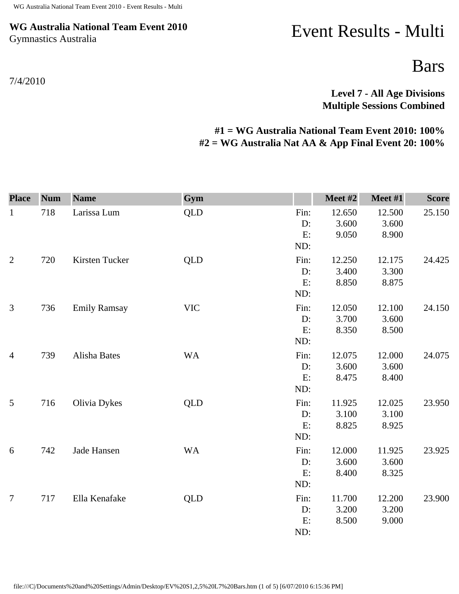## **WG Australia National Team Event 2010** Gymnastics Australia

Event Results - Multi

Bars

**Level 7 - All Age Divisions Multiple Sessions Combined** 

## **#1 = WG Australia National Team Event 2010: 100% #2 = WG Australia Nat AA & App Final Event 20: 100%**

| <b>Place</b>   | <b>Num</b> | <b>Name</b>         | Gym        |                            | Meet #2                  | Meet #1                  | <b>Score</b> |
|----------------|------------|---------------------|------------|----------------------------|--------------------------|--------------------------|--------------|
| $\mathbf{1}$   | 718        | Larissa Lum         | <b>QLD</b> | Fin:<br>D:<br>E:<br>ND:    | 12.650<br>3.600<br>9.050 | 12.500<br>3.600<br>8.900 | 25.150       |
| $\overline{2}$ | 720        | Kirsten Tucker      | <b>QLD</b> | Fin:<br>D:<br>E:<br>ND:    | 12.250<br>3.400<br>8.850 | 12.175<br>3.300<br>8.875 | 24.425       |
| 3              | 736        | <b>Emily Ramsay</b> | <b>VIC</b> | Fin:<br>$D$ :<br>E:<br>ND: | 12.050<br>3.700<br>8.350 | 12.100<br>3.600<br>8.500 | 24.150       |
| $\overline{4}$ | 739        | Alisha Bates        | <b>WA</b>  | Fin:<br>D:<br>E:<br>ND:    | 12.075<br>3.600<br>8.475 | 12.000<br>3.600<br>8.400 | 24.075       |
| 5              | 716        | Olivia Dykes        | <b>QLD</b> | Fin:<br>D:<br>E:<br>ND:    | 11.925<br>3.100<br>8.825 | 12.025<br>3.100<br>8.925 | 23.950       |
| 6              | 742        | Jade Hansen         | <b>WA</b>  | Fin:<br>D:<br>E:<br>ND:    | 12.000<br>3.600<br>8.400 | 11.925<br>3.600<br>8.325 | 23.925       |
| $\overline{7}$ | 717        | Ella Kenafake       | <b>QLD</b> | Fin:<br>D:<br>E:<br>ND:    | 11.700<br>3.200<br>8.500 | 12.200<br>3.200<br>9.000 | 23.900       |

file:///C|/Documents%20and%20Settings/Admin/Desktop/EV%20S1,2,5%20L7%20Bars.htm (1 of 5) [6/07/2010 6:15:36 PM]

7/4/2010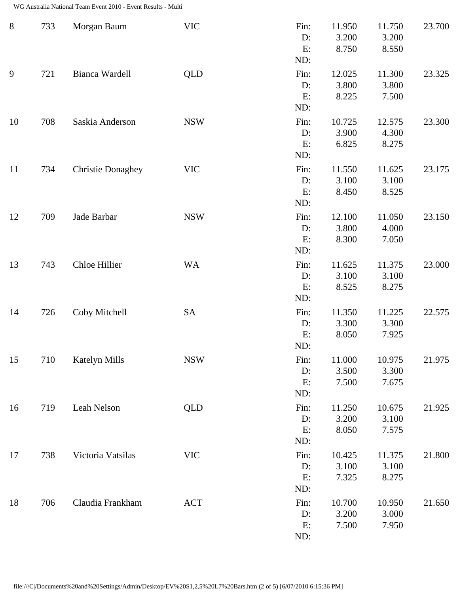| $8\,$ | 733 | Morgan Baum              | <b>VIC</b> | Fin:<br>D:<br>E:<br>ND:    | 11.950<br>3.200<br>8.750 | 11.750<br>3.200<br>8.550 | 23.700 |
|-------|-----|--------------------------|------------|----------------------------|--------------------------|--------------------------|--------|
| 9     | 721 | Bianca Wardell           | <b>QLD</b> | Fin:<br>$D$ :<br>E:<br>ND: | 12.025<br>3.800<br>8.225 | 11.300<br>3.800<br>7.500 | 23.325 |
| 10    | 708 | Saskia Anderson          | <b>NSW</b> | Fin:<br>D:<br>E:<br>ND:    | 10.725<br>3.900<br>6.825 | 12.575<br>4.300<br>8.275 | 23.300 |
| 11    | 734 | <b>Christie Donaghey</b> | <b>VIC</b> | Fin:<br>D:<br>E:<br>ND:    | 11.550<br>3.100<br>8.450 | 11.625<br>3.100<br>8.525 | 23.175 |
| 12    | 709 | Jade Barbar              | <b>NSW</b> | Fin:<br>D:<br>E:<br>ND:    | 12.100<br>3.800<br>8.300 | 11.050<br>4.000<br>7.050 | 23.150 |
| 13    | 743 | Chloe Hillier            | <b>WA</b>  | Fin:<br>D:<br>E:<br>ND:    | 11.625<br>3.100<br>8.525 | 11.375<br>3.100<br>8.275 | 23.000 |
| 14    | 726 | Coby Mitchell            | <b>SA</b>  | Fin:<br>D:<br>E:<br>ND:    | 11.350<br>3.300<br>8.050 | 11.225<br>3.300<br>7.925 | 22.575 |
| 15    | 710 | Katelyn Mills            | <b>NSW</b> | Fin:<br>D:<br>E:<br>ND:    | 11.000<br>3.500<br>7.500 | 10.975<br>3.300<br>7.675 | 21.975 |
| 16    | 719 | Leah Nelson              | QLD        | Fin:<br>$D$ :<br>E:<br>ND: | 11.250<br>3.200<br>8.050 | 10.675<br>3.100<br>7.575 | 21.925 |
| 17    | 738 | Victoria Vatsilas        | <b>VIC</b> | Fin:<br>D:<br>E:<br>ND:    | 10.425<br>3.100<br>7.325 | 11.375<br>3.100<br>8.275 | 21.800 |
| 18    | 706 | Claudia Frankham         | ACT        | Fin:<br>$D$ :<br>E:<br>ND: | 10.700<br>3.200<br>7.500 | 10.950<br>3.000<br>7.950 | 21.650 |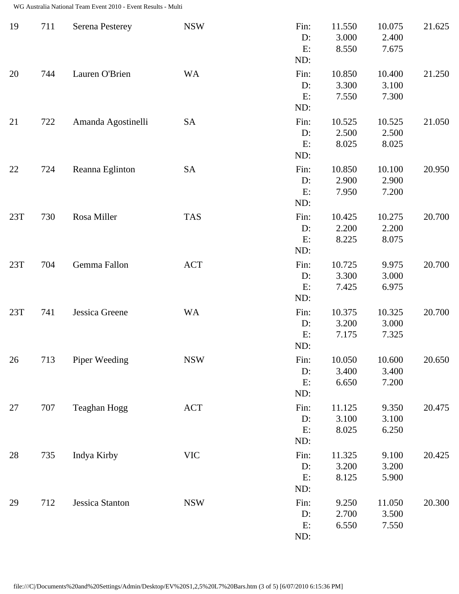| 19     | 711 | <b>Serena Pesterey</b> | <b>NSW</b> | Fin:<br>D:<br>E:<br>ND:    | 11.550<br>3.000<br>8.550 | 10.075<br>2.400<br>7.675 | 21.625 |
|--------|-----|------------------------|------------|----------------------------|--------------------------|--------------------------|--------|
| 20     | 744 | Lauren O'Brien         | <b>WA</b>  | Fin:<br>$D$ :<br>E:<br>ND: | 10.850<br>3.300<br>7.550 | 10.400<br>3.100<br>7.300 | 21.250 |
| 21     | 722 | Amanda Agostinelli     | <b>SA</b>  | Fin:<br>D:<br>E:<br>ND:    | 10.525<br>2.500<br>8.025 | 10.525<br>2.500<br>8.025 | 21.050 |
| 22     | 724 | Reanna Eglinton        | <b>SA</b>  | Fin:<br>$D$ :<br>E:<br>ND: | 10.850<br>2.900<br>7.950 | 10.100<br>2.900<br>7.200 | 20.950 |
| 23T    | 730 | Rosa Miller            | <b>TAS</b> | Fin:<br>D:<br>E:<br>ND:    | 10.425<br>2.200<br>8.225 | 10.275<br>2.200<br>8.075 | 20.700 |
| 23T    | 704 | Gemma Fallon           | <b>ACT</b> | Fin:<br>D:<br>E:<br>ND:    | 10.725<br>3.300<br>7.425 | 9.975<br>3.000<br>6.975  | 20.700 |
| 23T    | 741 | Jessica Greene         | <b>WA</b>  | Fin:<br>$D$ :<br>E:<br>ND: | 10.375<br>3.200<br>7.175 | 10.325<br>3.000<br>7.325 | 20.700 |
| $26\,$ | 713 | Piper Weeding          | <b>NSW</b> | Fin:<br>D:<br>E:<br>ND:    | 10.050<br>3.400<br>6.650 | 10.600<br>3.400<br>7.200 | 20.650 |
| 27     | 707 | Teaghan Hogg           | ACT        | Fin:<br>$D$ :<br>E:<br>ND: | 11.125<br>3.100<br>8.025 | 9.350<br>3.100<br>6.250  | 20.475 |
| 28     | 735 | Indya Kirby            | <b>VIC</b> | Fin:<br>$D$ :<br>E:<br>ND: | 11.325<br>3.200<br>8.125 | 9.100<br>3.200<br>5.900  | 20.425 |
| 29     | 712 | Jessica Stanton        | <b>NSW</b> | Fin:<br>D:<br>E:<br>ND:    | 9.250<br>2.700<br>6.550  | 11.050<br>3.500<br>7.550 | 20.300 |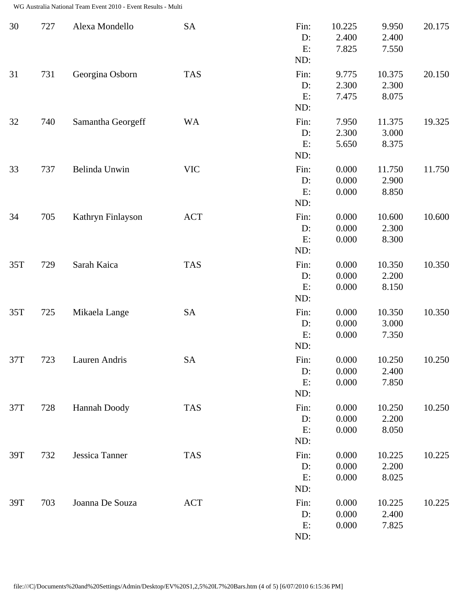| 30    | 727 | Alexa Mondello    | <b>SA</b>  | Fin:<br>D:<br>E:<br>ND:    | 10.225<br>2.400<br>7.825 | 9.950<br>2.400<br>7.550  | 20.175 |
|-------|-----|-------------------|------------|----------------------------|--------------------------|--------------------------|--------|
| 31    | 731 | Georgina Osborn   | <b>TAS</b> | Fin:<br>D:<br>E:<br>ND:    | 9.775<br>2.300<br>7.475  | 10.375<br>2.300<br>8.075 | 20.150 |
| 32    | 740 | Samantha Georgeff | <b>WA</b>  | Fin:<br>D:<br>E:<br>ND:    | 7.950<br>2.300<br>5.650  | 11.375<br>3.000<br>8.375 | 19.325 |
| 33    | 737 | Belinda Unwin     | <b>VIC</b> | Fin:<br>D:<br>E:<br>ND:    | 0.000<br>0.000<br>0.000  | 11.750<br>2.900<br>8.850 | 11.750 |
| 34    | 705 | Kathryn Finlayson | <b>ACT</b> | Fin:<br>D:<br>E:<br>ND:    | 0.000<br>0.000<br>0.000  | 10.600<br>2.300<br>8.300 | 10.600 |
| 35T   | 729 | Sarah Kaica       | <b>TAS</b> | Fin:<br>D:<br>E:<br>ND:    | 0.000<br>0.000<br>0.000  | 10.350<br>2.200<br>8.150 | 10.350 |
| 35T   | 725 | Mikaela Lange     | <b>SA</b>  | Fin:<br>D:<br>E:<br>ND:    | 0.000<br>0.000<br>0.000  | 10.350<br>3.000<br>7.350 | 10.350 |
| 37T   | 723 | Lauren Andris     | SA         | Fin:<br>D:<br>E:<br>ND:    | 0.000<br>0.000<br>0.000  | 10.250<br>2.400<br>7.850 | 10.250 |
| $37T$ | 728 | Hannah Doody      | <b>TAS</b> | Fin:<br>$D$ :<br>E:<br>ND: | 0.000<br>0.000<br>0.000  | 10.250<br>2.200<br>8.050 | 10.250 |
| 39T   | 732 | Jessica Tanner    | <b>TAS</b> | Fin:<br>D:<br>E:<br>ND:    | 0.000<br>0.000<br>0.000  | 10.225<br>2.200<br>8.025 | 10.225 |
| 39T   | 703 | Joanna De Souza   | <b>ACT</b> | Fin:<br>D:<br>E:<br>ND:    | 0.000<br>0.000<br>0.000  | 10.225<br>2.400<br>7.825 | 10.225 |